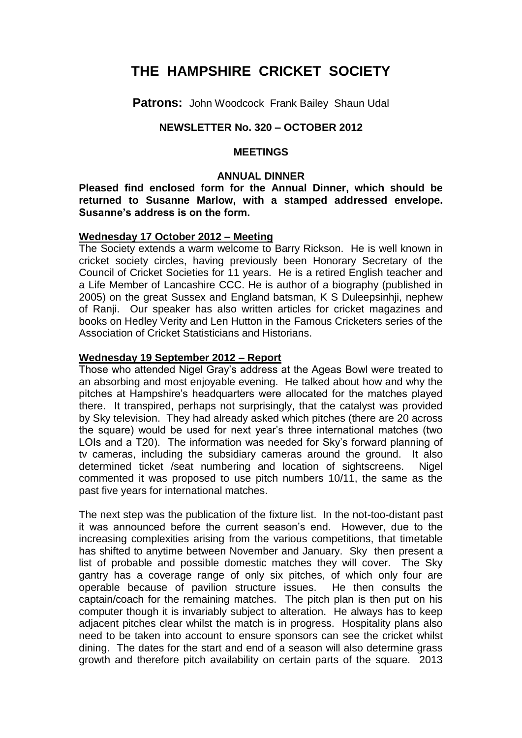# **THE HAMPSHIRE CRICKET SOCIETY**

**Patrons:** John Woodcock Frank Bailey Shaun Udal

## **NEWSLETTER No. 320 – OCTOBER 2012**

#### **MEETINGS**

#### **ANNUAL DINNER**

**Pleased find enclosed form for the Annual Dinner, which should be returned to Susanne Marlow, with a stamped addressed envelope. Susanne's address is on the form.** 

#### **Wednesday 17 October 2012 – Meeting**

The Society extends a warm welcome to Barry Rickson. He is well known in cricket society circles, having previously been Honorary Secretary of the Council of Cricket Societies for 11 years. He is a retired English teacher and a Life Member of Lancashire CCC. He is author of a biography (published in 2005) on the great Sussex and England batsman, K S Duleepsinhji, nephew of Ranji. Our speaker has also written articles for cricket magazines and books on Hedley Verity and Len Hutton in the Famous Cricketers series of the Association of Cricket Statisticians and Historians.

#### **Wednesday 19 September 2012 – Report**

Those who attended Nigel Gray's address at the Ageas Bowl were treated to an absorbing and most enjoyable evening. He talked about how and why the pitches at Hampshire's headquarters were allocated for the matches played there. It transpired, perhaps not surprisingly, that the catalyst was provided by Sky television. They had already asked which pitches (there are 20 across the square) would be used for next year's three international matches (two LOIs and a T20). The information was needed for Sky's forward planning of tv cameras, including the subsidiary cameras around the ground. It also determined ticket /seat numbering and location of sightscreens. Nigel commented it was proposed to use pitch numbers 10/11, the same as the past five years for international matches.

The next step was the publication of the fixture list. In the not-too-distant past it was announced before the current season's end. However, due to the increasing complexities arising from the various competitions, that timetable has shifted to anytime between November and January. Sky then present a list of probable and possible domestic matches they will cover. The Sky gantry has a coverage range of only six pitches, of which only four are operable because of pavilion structure issues. He then consults the captain/coach for the remaining matches. The pitch plan is then put on his computer though it is invariably subject to alteration. He always has to keep adjacent pitches clear whilst the match is in progress. Hospitality plans also need to be taken into account to ensure sponsors can see the cricket whilst dining. The dates for the start and end of a season will also determine grass growth and therefore pitch availability on certain parts of the square. 2013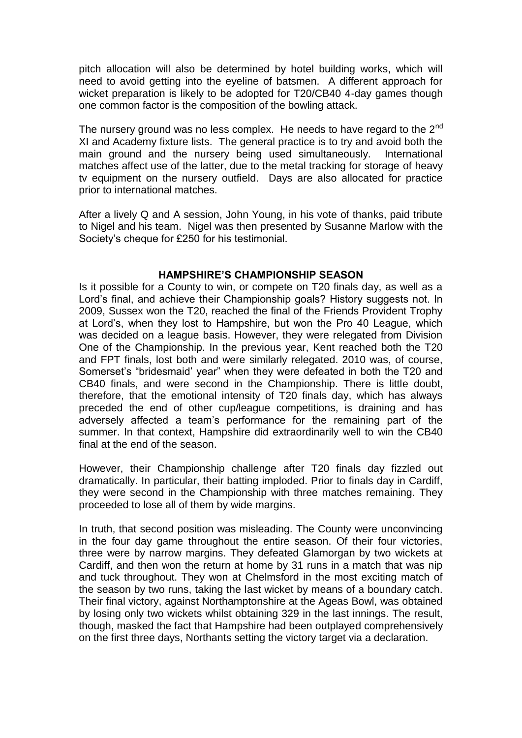pitch allocation will also be determined by hotel building works, which will need to avoid getting into the eyeline of batsmen. A different approach for wicket preparation is likely to be adopted for T20/CB40 4-day games though one common factor is the composition of the bowling attack.

The nursery ground was no less complex. He needs to have regard to the 2<sup>nd</sup> XI and Academy fixture lists. The general practice is to try and avoid both the main ground and the nursery being used simultaneously. International matches affect use of the latter, due to the metal tracking for storage of heavy tv equipment on the nursery outfield. Days are also allocated for practice prior to international matches.

After a lively Q and A session, John Young, in his vote of thanks, paid tribute to Nigel and his team. Nigel was then presented by Susanne Marlow with the Society's cheque for £250 for his testimonial.

#### **HAMPSHIRE'S CHAMPIONSHIP SEASON**

Is it possible for a County to win, or compete on T20 finals day, as well as a Lord's final, and achieve their Championship goals? History suggests not. In 2009, Sussex won the T20, reached the final of the Friends Provident Trophy at Lord's, when they lost to Hampshire, but won the Pro 40 League, which was decided on a league basis. However, they were relegated from Division One of the Championship. In the previous year, Kent reached both the T20 and FPT finals, lost both and were similarly relegated. 2010 was, of course, Somerset's "bridesmaid' year" when they were defeated in both the T20 and CB40 finals, and were second in the Championship. There is little doubt, therefore, that the emotional intensity of T20 finals day, which has always preceded the end of other cup/league competitions, is draining and has adversely affected a team's performance for the remaining part of the summer. In that context, Hampshire did extraordinarily well to win the CB40 final at the end of the season.

However, their Championship challenge after T20 finals day fizzled out dramatically. In particular, their batting imploded. Prior to finals day in Cardiff, they were second in the Championship with three matches remaining. They proceeded to lose all of them by wide margins.

In truth, that second position was misleading. The County were unconvincing in the four day game throughout the entire season. Of their four victories, three were by narrow margins. They defeated Glamorgan by two wickets at Cardiff, and then won the return at home by 31 runs in a match that was nip and tuck throughout. They won at Chelmsford in the most exciting match of the season by two runs, taking the last wicket by means of a boundary catch. Their final victory, against Northamptonshire at the Ageas Bowl, was obtained by losing only two wickets whilst obtaining 329 in the last innings. The result, though, masked the fact that Hampshire had been outplayed comprehensively on the first three days, Northants setting the victory target via a declaration.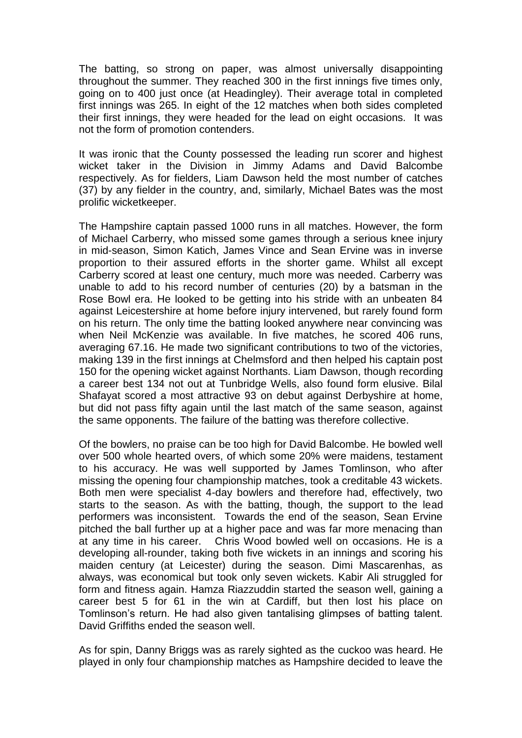The batting, so strong on paper, was almost universally disappointing throughout the summer. They reached 300 in the first innings five times only, going on to 400 just once (at Headingley). Their average total in completed first innings was 265. In eight of the 12 matches when both sides completed their first innings, they were headed for the lead on eight occasions. It was not the form of promotion contenders.

It was ironic that the County possessed the leading run scorer and highest wicket taker in the Division in Jimmy Adams and David Balcombe respectively. As for fielders, Liam Dawson held the most number of catches (37) by any fielder in the country, and, similarly, Michael Bates was the most prolific wicketkeeper.

The Hampshire captain passed 1000 runs in all matches. However, the form of Michael Carberry, who missed some games through a serious knee injury in mid-season, Simon Katich, James Vince and Sean Ervine was in inverse proportion to their assured efforts in the shorter game. Whilst all except Carberry scored at least one century, much more was needed. Carberry was unable to add to his record number of centuries (20) by a batsman in the Rose Bowl era. He looked to be getting into his stride with an unbeaten 84 against Leicestershire at home before injury intervened, but rarely found form on his return. The only time the batting looked anywhere near convincing was when Neil McKenzie was available. In five matches, he scored 406 runs, averaging 67.16. He made two significant contributions to two of the victories, making 139 in the first innings at Chelmsford and then helped his captain post 150 for the opening wicket against Northants. Liam Dawson, though recording a career best 134 not out at Tunbridge Wells, also found form elusive. Bilal Shafayat scored a most attractive 93 on debut against Derbyshire at home, but did not pass fifty again until the last match of the same season, against the same opponents. The failure of the batting was therefore collective.

Of the bowlers, no praise can be too high for David Balcombe. He bowled well over 500 whole hearted overs, of which some 20% were maidens, testament to his accuracy. He was well supported by James Tomlinson, who after missing the opening four championship matches, took a creditable 43 wickets. Both men were specialist 4-day bowlers and therefore had, effectively, two starts to the season. As with the batting, though, the support to the lead performers was inconsistent. Towards the end of the season, Sean Ervine pitched the ball further up at a higher pace and was far more menacing than at any time in his career. Chris Wood bowled well on occasions. He is a developing all-rounder, taking both five wickets in an innings and scoring his maiden century (at Leicester) during the season. Dimi Mascarenhas, as always, was economical but took only seven wickets. Kabir Ali struggled for form and fitness again. Hamza Riazzuddin started the season well, gaining a career best 5 for 61 in the win at Cardiff, but then lost his place on Tomlinson's return. He had also given tantalising glimpses of batting talent. David Griffiths ended the season well.

As for spin, Danny Briggs was as rarely sighted as the cuckoo was heard. He played in only four championship matches as Hampshire decided to leave the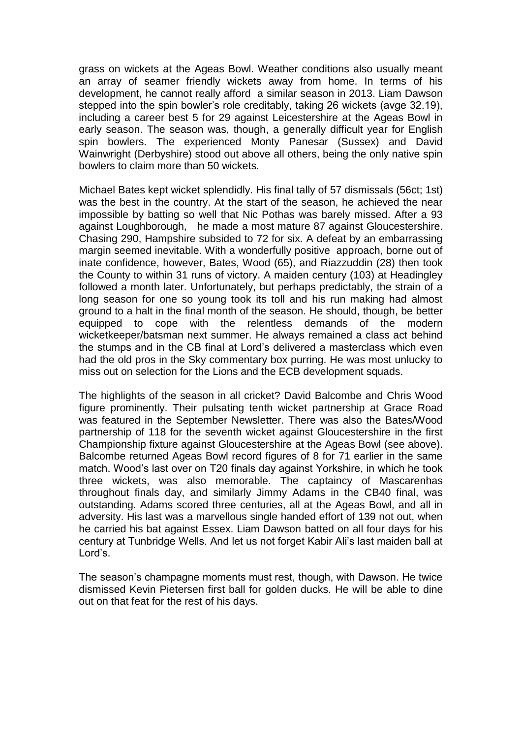grass on wickets at the Ageas Bowl. Weather conditions also usually meant an array of seamer friendly wickets away from home. In terms of his development, he cannot really afford a similar season in 2013. Liam Dawson stepped into the spin bowler's role creditably, taking 26 wickets (avge 32.19), including a career best 5 for 29 against Leicestershire at the Ageas Bowl in early season. The season was, though, a generally difficult year for English spin bowlers. The experienced Monty Panesar (Sussex) and David Wainwright (Derbyshire) stood out above all others, being the only native spin bowlers to claim more than 50 wickets.

Michael Bates kept wicket splendidly. His final tally of 57 dismissals (56ct; 1st) was the best in the country. At the start of the season, he achieved the near impossible by batting so well that Nic Pothas was barely missed. After a 93 against Loughborough, he made a most mature 87 against Gloucestershire. Chasing 290, Hampshire subsided to 72 for six. A defeat by an embarrassing margin seemed inevitable. With a wonderfully positive approach, borne out of inate confidence, however, Bates, Wood (65), and Riazzuddin (28) then took the County to within 31 runs of victory. A maiden century (103) at Headingley followed a month later. Unfortunately, but perhaps predictably, the strain of a long season for one so young took its toll and his run making had almost ground to a halt in the final month of the season. He should, though, be better equipped to cope with the relentless demands of the modern wicketkeeper/batsman next summer. He always remained a class act behind the stumps and in the CB final at Lord's delivered a masterclass which even had the old pros in the Sky commentary box purring. He was most unlucky to miss out on selection for the Lions and the ECB development squads.

The highlights of the season in all cricket? David Balcombe and Chris Wood figure prominently. Their pulsating tenth wicket partnership at Grace Road was featured in the September Newsletter. There was also the Bates/Wood partnership of 118 for the seventh wicket against Gloucestershire in the first Championship fixture against Gloucestershire at the Ageas Bowl (see above). Balcombe returned Ageas Bowl record figures of 8 for 71 earlier in the same match. Wood's last over on T20 finals day against Yorkshire, in which he took three wickets, was also memorable. The captaincy of Mascarenhas throughout finals day, and similarly Jimmy Adams in the CB40 final, was outstanding. Adams scored three centuries, all at the Ageas Bowl, and all in adversity. His last was a marvellous single handed effort of 139 not out, when he carried his bat against Essex. Liam Dawson batted on all four days for his century at Tunbridge Wells. And let us not forget Kabir Ali's last maiden ball at Lord's.

The season's champagne moments must rest, though, with Dawson. He twice dismissed Kevin Pietersen first ball for golden ducks. He will be able to dine out on that feat for the rest of his days.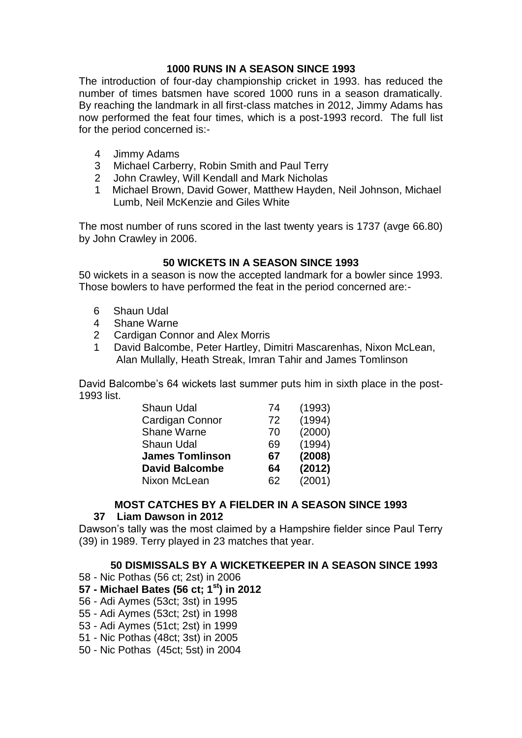## **1000 RUNS IN A SEASON SINCE 1993**

The introduction of four-day championship cricket in 1993. has reduced the number of times batsmen have scored 1000 runs in a season dramatically. By reaching the landmark in all first-class matches in 2012, Jimmy Adams has now performed the feat four times, which is a post-1993 record. The full list for the period concerned is:-

- 4 Jimmy Adams
- 3 Michael Carberry, Robin Smith and Paul Terry
- 2 John Crawley, Will Kendall and Mark Nicholas
- 1 Michael Brown, David Gower, Matthew Hayden, Neil Johnson, Michael Lumb, Neil McKenzie and Giles White

The most number of runs scored in the last twenty years is 1737 (avge 66.80) by John Crawley in 2006.

## **50 WICKETS IN A SEASON SINCE 1993**

50 wickets in a season is now the accepted landmark for a bowler since 1993. Those bowlers to have performed the feat in the period concerned are:-

- 6 Shaun Udal
- 4 Shane Warne
- 2 Cardigan Connor and Alex Morris
- 1 David Balcombe, Peter Hartley, Dimitri Mascarenhas, Nixon McLean, Alan Mullally, Heath Streak, Imran Tahir and James Tomlinson

David Balcombe's 64 wickets last summer puts him in sixth place in the post-1993 list.

| <b>Shaun Udal</b>      | 74 | (1993) |
|------------------------|----|--------|
| Cardigan Connor        | 72 | (1994) |
| <b>Shane Warne</b>     | 70 | (2000) |
| <b>Shaun Udal</b>      | 69 | (1994) |
| <b>James Tomlinson</b> | 67 | (2008) |
| <b>David Balcombe</b>  | 64 | (2012) |
| Nixon McLean           | 62 | (2001) |

## **MOST CATCHES BY A FIELDER IN A SEASON SINCE 1993**

## **37 Liam Dawson in 2012**

Dawson's tally was the most claimed by a Hampshire fielder since Paul Terry (39) in 1989. Terry played in 23 matches that year.

## **50 DISMISSALS BY A WICKETKEEPER IN A SEASON SINCE 1993**

58 - Nic Pothas (56 ct; 2st) in 2006

## **57 - Michael Bates (56 ct; 1st) in 2012**

- 56 Adi Aymes (53ct; 3st) in 1995
- 55 Adi Aymes (53ct; 2st) in 1998
- 53 Adi Aymes (51ct; 2st) in 1999
- 51 Nic Pothas (48ct; 3st) in 2005
- 50 Nic Pothas (45ct; 5st) in 2004